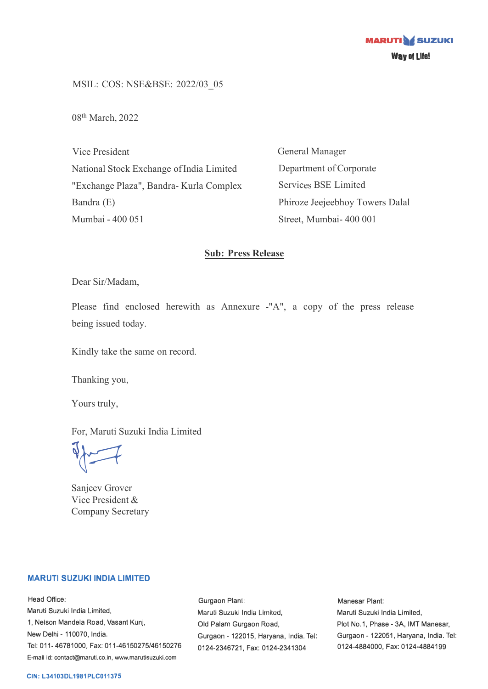MSIL: COS: NSE&BSE: 2022/03\_05

08<sup>th</sup> March, 2022

Vice President National Stock Exchange of India Limited "Exchange Plaza", Bandra- Kurla Complex Bandra (E) Mumbai - 400 051

General Manager Department of Corporate Services BSE Limited Phiroze Jeejeebhoy Towers Dalal Street, Mumbai- 400 001

## **Sub: Press Release**

Dear Sir/Madam,

Please find enclosed herewith as Annexure -"A", a copy of the press release being issued today.

Kindly take the same on record.

Thanking you,

Yours truly,

For, Maruti Suzuki India Limited

 $\sqrt{2}$ 

Sanjeev Grover Vice President & Company Secretary

## **MARUTI SUZUKI INDIA LIMITED**

Head Office: Maruti Suzuki India Limited, 1, Nelson Mandela Road, Vasant Kunj, New Delhi - 110070, India. Tel: 011-46781000, Fax: 011-46150275/46150276 E-mail id: contact@maruti.co.in, www.marutisuzuki.com

Gurgaon Plant: Maruli Suzuki India Lirniled, Old Palam Gurgaon Road, Gurgaon - 122015, Haryana, India. Tel: 0124-2346721, Fax: 0124-2341304

Manesar Plant: Maruti Suzuki India Limited, Plot No.1, Phase - 3A, IMT Manesar, Gurgaon - 122051, Haryana, India. Tel: 0124-4884000, Fax: 0124-4884199

### **CIN: L34103DL1981PLC011375**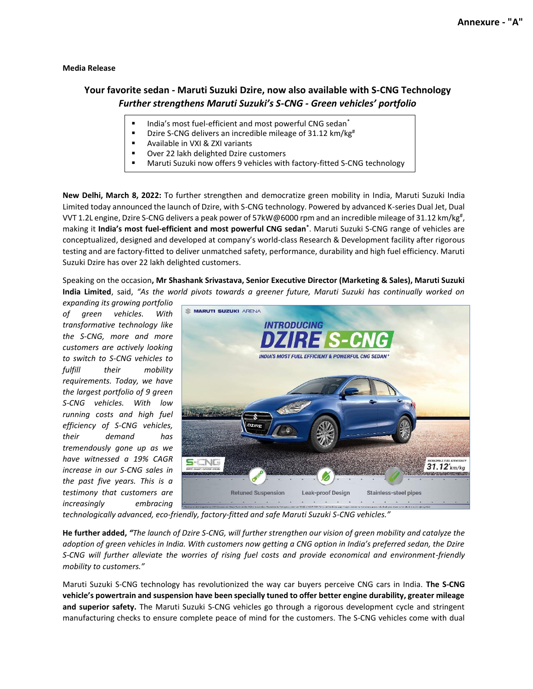#### **Media Release**

# **Your favorite sedan - Maruti Suzuki Dzire, now also available with S-CNG Technology** *Further strengthens Maruti Suzuki's S-CNG - Green vehicles' portfolio*

- India's most fuel-efficient and most powerful CNG sedan<sup>\*</sup>
- Dzire S-CNG delivers an incredible mileage of 31.12 km/kg<sup>#</sup>
- Available in VXI & ZXI variants
- Over 22 lakh delighted Dzire customers
- Maruti Suzuki now offers 9 vehicles with factory-fitted S-CNG technology

**New Delhi, March 8, 2022:** To further strengthen and democratize green mobility in India, Maruti Suzuki India Limited today announced the launch of Dzire, with S-CNG technology. Powered by advanced K-series Dual Jet, Dual VVT 1.2L engine, Dzire S-CNG delivers a peak power of 57kW@6000 rpm and an incredible mileage of 31.12 km/kg $^\#$ , making it **India's most fuel-efficient and most powerful CNG sedan\*** . Maruti Suzuki S-CNG range of vehicles are conceptualized, designed and developed at company's world-class Research & Development facility after rigorous testing and are factory-fitted to deliver unmatched safety, performance, durability and high fuel efficiency. Maruti Suzuki Dzire has over 22 lakh delighted customers.

Speaking on the occasion**, Mr Shashank Srivastava, Senior Executive Director (Marketing & Sales), Maruti Suzuki India Limited**, said, *"As the world pivots towards a greener future, Maruti Suzuki has continually worked on* 

*expanding its growing portfolio of green vehicles. With transformative technology like the S-CNG, more and more customers are actively looking to switch to S-CNG vehicles to fulfill their mobility requirements. Today, we have the largest portfolio of 9 green S-CNG vehicles. With low running costs and high fuel efficiency of S-CNG vehicles, their demand has tremendously gone up as we have witnessed a 19% CAGR increase in our S-CNG sales in the past five years. This is a testimony that customers are increasingly embracing*



*technologically advanced, eco-friendly, factory-fitted and safe Maruti Suzuki S-CNG vehicles."*

**He further added,** *"The launch of Dzire S-CNG, will further strengthen our vision of green mobility and catalyze the adoption of green vehicles in India. With customers now getting a CNG option in India's preferred sedan, the Dzire S-CNG will further alleviate the worries of rising fuel costs and provide economical and environment-friendly mobility to customers."*

Maruti Suzuki S-CNG technology has revolutionized the way car buyers perceive CNG cars in India. **The S-CNG vehicle's powertrain and suspension have been specially tuned to offer better engine durability, greater mileage and superior safety.** The Maruti Suzuki S-CNG vehicles go through a rigorous development cycle and stringent manufacturing checks to ensure complete peace of mind for the customers. The S-CNG vehicles come with dual